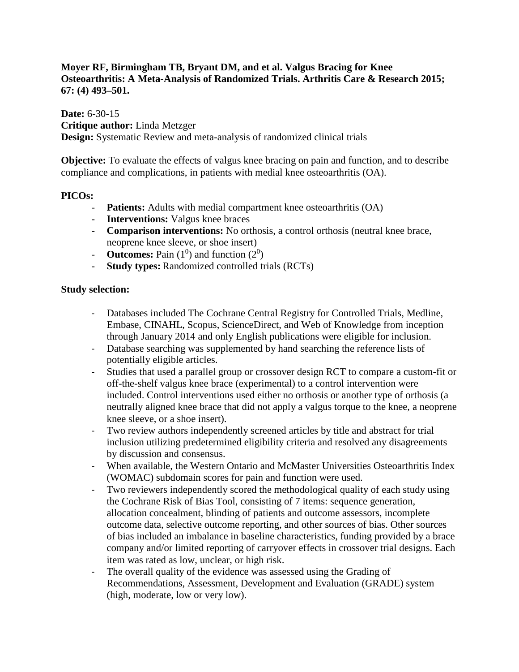## **Moyer RF, Birmingham TB, Bryant DM, and et al. Valgus Bracing for Knee Osteoarthritis: A Meta-Analysis of Randomized Trials. Arthritis Care & Research 2015; 67: (4) 493–501.**

**Date:** 6-30-15 **Critique author:** Linda Metzger **Design:** Systematic Review and meta-analysis of randomized clinical trials

**Objective:** To evaluate the effects of valgus knee bracing on pain and function, and to describe compliance and complications, in patients with medial knee osteoarthritis (OA).

## **PICOs:**

- **Patients:** Adults with medial compartment knee osteoarthritis (OA)
- **Interventions:** Valgus knee braces
- **Comparison interventions:** No orthosis, a control orthosis (neutral knee brace, neoprene knee sleeve, or shoe insert)
- **- Outcomes:** Pain  $(1^0)$  and function  $(2^0)$
- **Study types:** Randomized controlled trials (RCTs)

### **Study selection:**

- Databases included The Cochrane Central Registry for Controlled Trials, Medline, Embase, CINAHL, Scopus, ScienceDirect, and Web of Knowledge from inception through January 2014 and only English publications were eligible for inclusion.
- Database searching was supplemented by hand searching the reference lists of potentially eligible articles.
- Studies that used a parallel group or crossover design RCT to compare a custom-fit or off-the-shelf valgus knee brace (experimental) to a control intervention were included. Control interventions used either no orthosis or another type of orthosis (a neutrally aligned knee brace that did not apply a valgus torque to the knee, a neoprene knee sleeve, or a shoe insert).
- Two review authors independently screened articles by title and abstract for trial inclusion utilizing predetermined eligibility criteria and resolved any disagreements by discussion and consensus.
- When available, the Western Ontario and McMaster Universities Osteoarthritis Index (WOMAC) subdomain scores for pain and function were used.
- Two reviewers independently scored the methodological quality of each study using the Cochrane Risk of Bias Tool, consisting of 7 items: sequence generation, allocation concealment, blinding of patients and outcome assessors, incomplete outcome data, selective outcome reporting, and other sources of bias. Other sources of bias included an imbalance in baseline characteristics, funding provided by a brace company and/or limited reporting of carryover effects in crossover trial designs. Each item was rated as low, unclear, or high risk.
- The overall quality of the evidence was assessed using the Grading of Recommendations, Assessment, Development and Evaluation (GRADE) system (high, moderate, low or very low).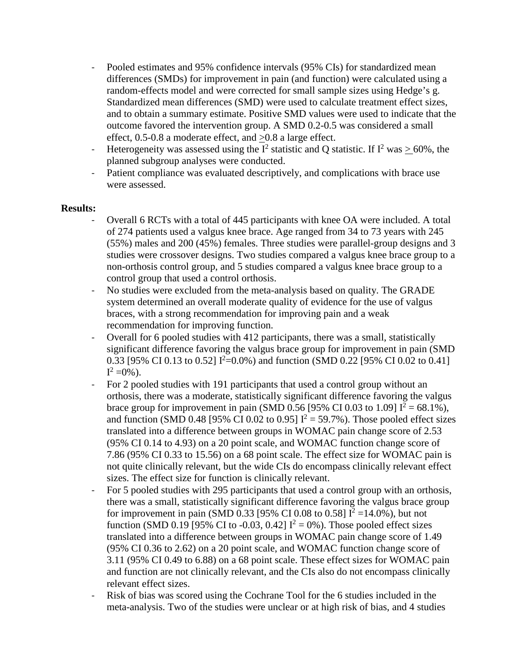- Pooled estimates and 95% confidence intervals (95% CIs) for standardized mean differences (SMDs) for improvement in pain (and function) were calculated using a random-effects model and were corrected for small sample sizes using Hedge's g. Standardized mean differences (SMD) were used to calculate treatment effect sizes, and to obtain a summary estimate. Positive SMD values were used to indicate that the outcome favored the intervention group. A SMD 0.2-0.5 was considered a small effect, 0.5-0.8 a moderate effect, and >0.8 a large effect.
- Heterogeneity was assessed using the  $I^2$  statistic and Q statistic. If  $I^2$  was  $> 60\%$ , the planned subgroup analyses were conducted.
- Patient compliance was evaluated descriptively, and complications with brace use were assessed.

## **Results:**

- Overall 6 RCTs with a total of 445 participants with knee OA were included. A total of 274 patients used a valgus knee brace. Age ranged from 34 to 73 years with 245 (55%) males and 200 (45%) females. Three studies were parallel-group designs and 3 studies were crossover designs. Two studies compared a valgus knee brace group to a non-orthosis control group, and 5 studies compared a valgus knee brace group to a control group that used a control orthosis.
- No studies were excluded from the meta-analysis based on quality. The GRADE system determined an overall moderate quality of evidence for the use of valgus braces, with a strong recommendation for improving pain and a weak recommendation for improving function.
- Overall for 6 pooled studies with 412 participants, there was a small, statistically significant difference favoring the valgus brace group for improvement in pain (SMD 0.33 [95% CI 0.13 to 0.52]  $I^2=0.0\%$ ) and function (SMD 0.22 [95% CI 0.02 to 0.41]  $I^2 = 0\%$ ).
- For 2 pooled studies with 191 participants that used a control group without an orthosis, there was a moderate, statistically significant difference favoring the valgus brace group for improvement in pain (SMD 0.56 [95% CI 0.03 to 1.09]  $I^2 = 68.1\%$ ), and function (SMD 0.48 [95% CI 0.02 to 0.95]  $I^2 = 59.7\%$ ). Those pooled effect sizes translated into a difference between groups in WOMAC pain change score of 2.53 (95% CI 0.14 to 4.93) on a 20 point scale, and WOMAC function change score of 7.86 (95% CI 0.33 to 15.56) on a 68 point scale. The effect size for WOMAC pain is not quite clinically relevant, but the wide CIs do encompass clinically relevant effect sizes. The effect size for function is clinically relevant.
- For 5 pooled studies with 295 participants that used a control group with an orthosis, there was a small, statistically significant difference favoring the valgus brace group for improvement in pain (SMD 0.33 [95% CI 0.08 to 0.58]  $I^2 = 14.0\%$ ), but not function (SMD 0.19 [95% CI to -0.03, 0.42]  $I^2 = 0$ %). Those pooled effect sizes translated into a difference between groups in WOMAC pain change score of 1.49 (95% CI 0.36 to 2.62) on a 20 point scale, and WOMAC function change score of 3.11 (95% CI 0.49 to 6.88) on a 68 point scale. These effect sizes for WOMAC pain and function are not clinically relevant, and the CIs also do not encompass clinically relevant effect sizes.
- Risk of bias was scored using the Cochrane Tool for the 6 studies included in the meta-analysis. Two of the studies were unclear or at high risk of bias, and 4 studies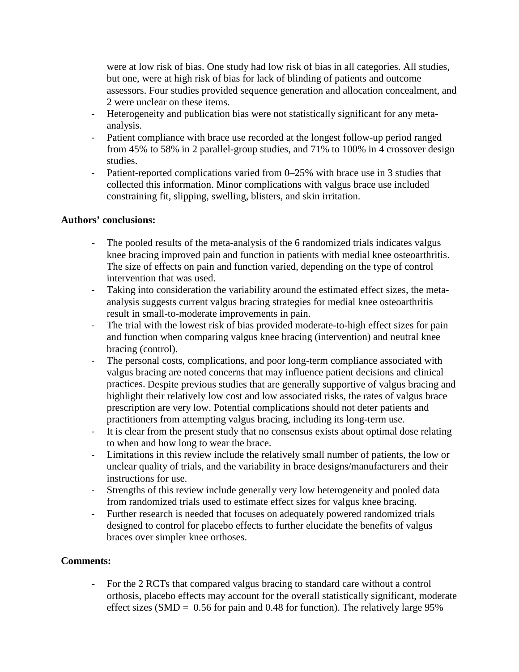were at low risk of bias. One study had low risk of bias in all categories. All studies, but one, were at high risk of bias for lack of blinding of patients and outcome assessors. Four studies provided sequence generation and allocation concealment, and 2 were unclear on these items.

- Heterogeneity and publication bias were not statistically significant for any metaanalysis.
- Patient compliance with brace use recorded at the longest follow-up period ranged from 45% to 58% in 2 parallel-group studies, and 71% to 100% in 4 crossover design studies.
- Patient-reported complications varied from 0–25% with brace use in 3 studies that collected this information. Minor complications with valgus brace use included constraining fit, slipping, swelling, blisters, and skin irritation.

# **Authors' conclusions:**

- The pooled results of the meta-analysis of the 6 randomized trials indicates valgus knee bracing improved pain and function in patients with medial knee osteoarthritis. The size of effects on pain and function varied, depending on the type of control intervention that was used.
- Taking into consideration the variability around the estimated effect sizes, the metaanalysis suggests current valgus bracing strategies for medial knee osteoarthritis result in small-to-moderate improvements in pain.
- The trial with the lowest risk of bias provided moderate-to-high effect sizes for pain and function when comparing valgus knee bracing (intervention) and neutral knee bracing (control).
- The personal costs, complications, and poor long-term compliance associated with valgus bracing are noted concerns that may influence patient decisions and clinical practices. Despite previous studies that are generally supportive of valgus bracing and highlight their relatively low cost and low associated risks, the rates of valgus brace prescription are very low. Potential complications should not deter patients and practitioners from attempting valgus bracing, including its long-term use.
- It is clear from the present study that no consensus exists about optimal dose relating to when and how long to wear the brace.
- Limitations in this review include the relatively small number of patients, the low or unclear quality of trials, and the variability in brace designs/manufacturers and their instructions for use.
- Strengths of this review include generally very low heterogeneity and pooled data from randomized trials used to estimate effect sizes for valgus knee bracing.
- Further research is needed that focuses on adequately powered randomized trials designed to control for placebo effects to further elucidate the benefits of valgus braces over simpler knee orthoses.

### **Comments:**

- For the 2 RCTs that compared valgus bracing to standard care without a control orthosis, placebo effects may account for the overall statistically significant, moderate effect sizes (SMD =  $0.56$  for pain and 0.48 for function). The relatively large 95%